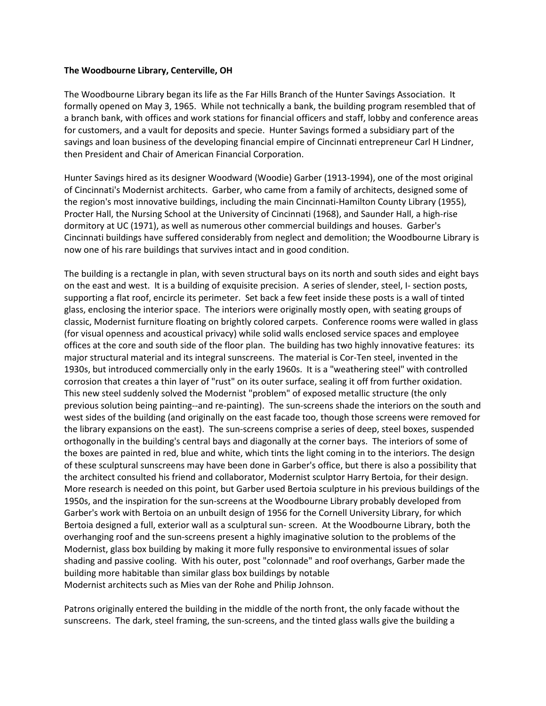## **The Woodbourne Library, Centerville, OH**

The Woodbourne Library began its life as the Far Hills Branch of the Hunter Savings Association. It formally opened on May 3, 1965. While not technically a bank, the building program resembled that of a branch bank, with offices and work stations for financial officers and staff, lobby and conference areas for customers, and a vault for deposits and specie. Hunter Savings formed a subsidiary part of the savings and loan business of the developing financial empire of Cincinnati entrepreneur Carl H Lindner, then President and Chair of American Financial Corporation.

Hunter Savings hired as its designer Woodward (Woodie) Garber (1913-1994), one of the most original of Cincinnati's Modernist architects. Garber, who came from a family of architects, designed some of the region's most innovative buildings, including the main Cincinnati-Hamilton County Library (1955), Procter Hall, the Nursing School at the University of Cincinnati (1968), and Saunder Hall, a high-rise dormitory at UC (1971), as well as numerous other commercial buildings and houses. Garber's Cincinnati buildings have suffered considerably from neglect and demolition; the Woodbourne Library is now one of his rare buildings that survives intact and in good condition.

The building is a rectangle in plan, with seven structural bays on its north and south sides and eight bays on the east and west. It is a building of exquisite precision. A series of slender, steel, I- section posts, supporting a flat roof, encircle its perimeter. Set back a few feet inside these posts is a wall of tinted glass, enclosing the interior space. The interiors were originally mostly open, with seating groups of classic, Modernist furniture floating on brightly colored carpets. Conference rooms were walled in glass (for visual openness and acoustical privacy) while solid walls enclosed service spaces and employee offices at the core and south side of the floor plan. The building has two highly innovative features: its major structural material and its integral sunscreens. The material is Cor-Ten steel, invented in the 1930s, but introduced commercially only in the early 1960s. It is a "weathering steel" with controlled corrosion that creates a thin layer of "rust" on its outer surface, sealing it off from further oxidation. This new steel suddenly solved the Modernist "problem" of exposed metallic structure (the only previous solution being painting--and re-painting). The sun-screens shade the interiors on the south and west sides of the building (and originally on the east facade too, though those screens were removed for the library expansions on the east). The sun-screens comprise a series of deep, steel boxes, suspended orthogonally in the building's central bays and diagonally at the corner bays. The interiors of some of the boxes are painted in red, blue and white, which tints the light coming in to the interiors. The design of these sculptural sunscreens may have been done in Garber's office, but there is also a possibility that the architect consulted his friend and collaborator, Modernist sculptor Harry Bertoia, for their design. More research is needed on this point, but Garber used Bertoia sculpture in his previous buildings of the 1950s, and the inspiration for the sun-screens at the Woodbourne Library probably developed from Garber's work with Bertoia on an unbuilt design of 1956 for the Cornell University Library, for which Bertoia designed a full, exterior wall as a sculptural sun- screen. At the Woodbourne Library, both the overhanging roof and the sun-screens present a highly imaginative solution to the problems of the Modernist, glass box building by making it more fully responsive to environmental issues of solar shading and passive cooling. With his outer, post "colonnade" and roof overhangs, Garber made the building more habitable than similar glass box buildings by notable Modernist architects such as Mies van der Rohe and Philip Johnson.

Patrons originally entered the building in the middle of the north front, the only facade without the sunscreens. The dark, steel framing, the sun-screens, and the tinted glass walls give the building a